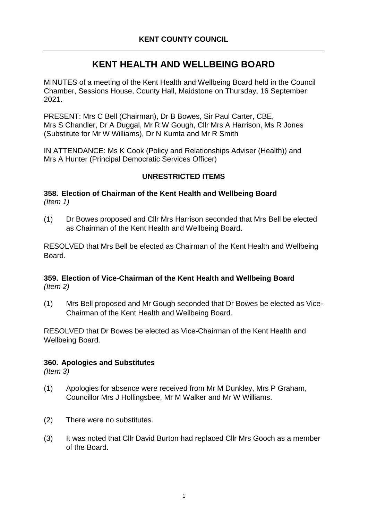# **KENT HEALTH AND WELLBEING BOARD**

MINUTES of a meeting of the Kent Health and Wellbeing Board held in the Council Chamber, Sessions House, County Hall, Maidstone on Thursday, 16 September 2021.

PRESENT: Mrs C Bell (Chairman), Dr B Bowes, Sir Paul Carter, CBE, Mrs S Chandler, Dr A Duggal, Mr R W Gough, Cllr Mrs A Harrison, Ms R Jones (Substitute for Mr W Williams), Dr N Kumta and Mr R Smith

IN ATTENDANCE: Ms K Cook (Policy and Relationships Adviser (Health)) and Mrs A Hunter (Principal Democratic Services Officer)

# **UNRESTRICTED ITEMS**

**358. Election of Chairman of the Kent Health and Wellbeing Board** *(Item 1)*

(1) Dr Bowes proposed and Cllr Mrs Harrison seconded that Mrs Bell be elected as Chairman of the Kent Health and Wellbeing Board.

RESOLVED that Mrs Bell be elected as Chairman of the Kent Health and Wellbeing Board.

## **359. Election of Vice-Chairman of the Kent Health and Wellbeing Board** *(Item 2)*

(1) Mrs Bell proposed and Mr Gough seconded that Dr Bowes be elected as Vice-Chairman of the Kent Health and Wellbeing Board.

RESOLVED that Dr Bowes be elected as Vice-Chairman of the Kent Health and Wellbeing Board.

# **360. Apologies and Substitutes**

*(Item 3)*

- (1) Apologies for absence were received from Mr M Dunkley, Mrs P Graham, Councillor Mrs J Hollingsbee, Mr M Walker and Mr W Williams.
- (2) There were no substitutes.
- (3) It was noted that Cllr David Burton had replaced Cllr Mrs Gooch as a member of the Board.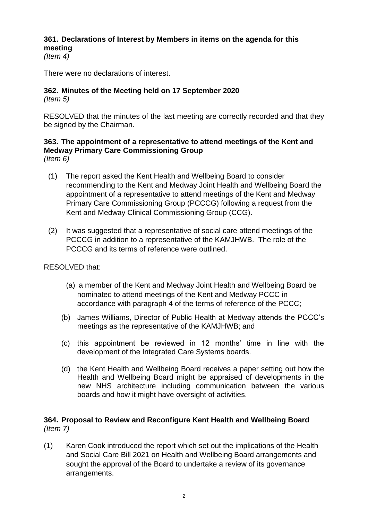# **361. Declarations of Interest by Members in items on the agenda for this meeting**

*(Item 4)*

There were no declarations of interest.

# **362. Minutes of the Meeting held on 17 September 2020**

*(Item 5)*

RESOLVED that the minutes of the last meeting are correctly recorded and that they be signed by the Chairman.

#### **363. The appointment of a representative to attend meetings of the Kent and Medway Primary Care Commissioning Group** *(Item 6)*

- (1) The report asked the Kent Health and Wellbeing Board to consider recommending to the Kent and Medway Joint Health and Wellbeing Board the appointment of a representative to attend meetings of the Kent and Medway Primary Care Commissioning Group (PCCCG) following a request from the Kent and Medway Clinical Commissioning Group (CCG).
- (2) It was suggested that a representative of social care attend meetings of the PCCCG in addition to a representative of the KAMJHWB. The role of the PCCCG and its terms of reference were outlined.

RESOLVED that:

- (a) a member of the Kent and Medway Joint Health and Wellbeing Board be nominated to attend meetings of the Kent and Medway PCCC in accordance with paragraph 4 of the terms of reference of the PCCC;
- (b) James Williams, Director of Public Health at Medway attends the PCCC's meetings as the representative of the KAMJHWB; and
- (c) this appointment be reviewed in 12 months' time in line with the development of the Integrated Care Systems boards.
- (d) the Kent Health and Wellbeing Board receives a paper setting out how the Health and Wellbeing Board might be appraised of developments in the new NHS architecture including communication between the various boards and how it might have oversight of activities.

# **364. Proposal to Review and Reconfigure Kent Health and Wellbeing Board** *(Item 7)*

(1) Karen Cook introduced the report which set out the implications of the Health and Social Care Bill 2021 on Health and Wellbeing Board arrangements and sought the approval of the Board to undertake a review of its governance arrangements.